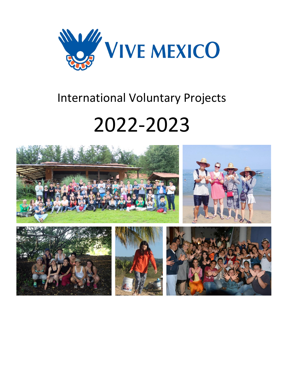

## International Voluntary Projects

# 2022-2023

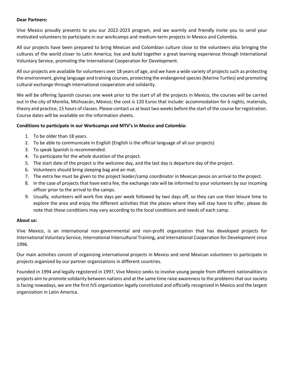#### **Dear Partners:**

Vive Mexico proudly presents to you our 2022-2023 program, and we warmly and friendly invite you to send your motivated volunteers to participate in our workcamps and medium-term projects in Mexico and Colombia.

All our projects have been prepared to bring Mexican and Colombian culture close to the volunteers also bringing the cultures of the world closer to Latin America; live and build together a great learning experience through International Voluntary Service, promoting the International Cooperation for Development.

All our projects are available for volunteers over 18 years of age, and we have a wide variety of projects such as protecting the environment, giving language and training courses, protecting the endangered species (Marine Turtles) and promoting cultural exchange through international cooperation and solidarity.

We will be offering Spanish courses one week prior to the start of all the projects in Mexico, the courses will be carried out in the city of Morelia, Michoacán, Mexico; the cost is 120 Euros that include: accommodation for 6 nights, materials, theory and practice, 15 hours of classes. Please contact us at least two weeks before the start of the course for registration. Course dates will be available on the information sheets.

#### **Conditions to participate in our Workcamps and MTV's in Mexico and Colombia:**

- 1. To be older than 18 years.
- 2. To be able to communicate in English (English is the official language of all our projects)
- 3. To speak Spanish is recommended.
- 4. To participate for the whole duration of the project.
- 5. The start date of the project is the welcome day, and the last day is departure day of the project.
- 6. Volunteers should bring sleeping bag and air mat.
- 7. The extra fee must be given to the project leader/camp coordinator in Mexican pesos on arrival to the project.
- 8. In the case of projects that have extra fee, the exchange rate will be informed to your volunteers by our incoming officer prior to the arrival to the camps.
- 9. Usually, volunteers will work five days per week followed by two days off, so they can use their leisure time to explore the area and enjoy the different activities that the places where they will stay have to offer, please do note that these conditions may vary according to the local conditions and needs of each camp.

#### **About us:**

Vive Mexico, is an international non-governmental and non-profit organization that has developed projects for International Voluntary Service, International Intercultural Training, and International Cooperation for Development since 1996.

Our main activities consist of organizing international projects in Mexico and send Mexican volunteers to participate in projects organized by our partner organizations in different countries.

Founded in 1994 and legally registered in 1997, Vive Mexico seeks to involve young people from different nationalities in projects aim to promote solidarity between nations and at the same time raise awareness to the problems that our society is facing nowadays, we are the first IVS organization legally constituted and officially recognized in Mexico and the largest organization in Latin America.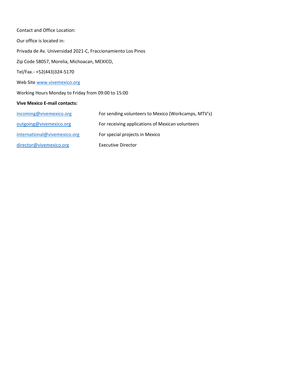| Contact and Office Location:                                 |                                                     |  |  |  |  |  |
|--------------------------------------------------------------|-----------------------------------------------------|--|--|--|--|--|
| Our office is located in:                                    |                                                     |  |  |  |  |  |
| Privada de Av. Universidad 2021-C, Fraccionamiento Los Pinos |                                                     |  |  |  |  |  |
| Zip Code 58057, Morelia, Michoacan, MEXICO,                  |                                                     |  |  |  |  |  |
| Tel/Fax.- +52(443)324-5170                                   |                                                     |  |  |  |  |  |
| Web Site www.vivemexico.org                                  |                                                     |  |  |  |  |  |
| Working Hours Monday to Friday from 09:00 to 15:00           |                                                     |  |  |  |  |  |
| <b>Vive Mexico E-mail contacts:</b>                          |                                                     |  |  |  |  |  |
| incoming@vivemexico.org                                      | For sending volunteers to Mexico (Workcamps, MTV's) |  |  |  |  |  |
| outgoing@vivemexico.org                                      | For receiving applications of Mexican volunteers    |  |  |  |  |  |
| international@vivemexico.org                                 | For special projects in Mexico                      |  |  |  |  |  |
| director@vivemexico.org                                      | <b>Executive Director</b>                           |  |  |  |  |  |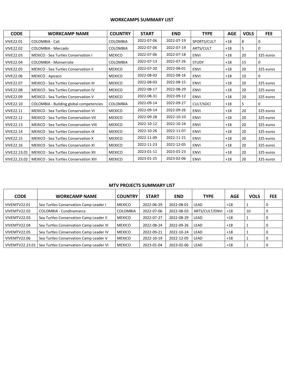#### **WORKCAMPS SUMMARY LIST**

| <b>CODE</b>      | <b>WORKCAMP NAME</b>                          | <b>COUNTRY</b>  | <b>START</b> | <b>END</b> | <b>TYPE</b>      | <b>AGE</b> | <b>VOLS</b> | <b>FEE</b> |
|------------------|-----------------------------------------------|-----------------|--------------|------------|------------------|------------|-------------|------------|
| <b>VIVE22.01</b> | <b>COLOMBIA - Cali</b>                        | <b>COLOMBIA</b> | 2022-07-06   | 2022-07-19 | SPORTS/CULT      | $+18$      | 8           | 0          |
| <b>VIVE22.02</b> | COLOMBIA - Mercado                            | COLOMBIA        | 2022-07-06   | 2022-07-19 | ARTS/CULT        | $+18$      | 5           | 0          |
| <b>VIVE22.03</b> | <b>MEXICO - Sea Turtles Conservation I</b>    | <b>MEXICO</b>   | 2022-07-06   | 2022-07-18 | <b>ENVI</b>      | $+18$      | 20          | 325 euros  |
| <b>VIVE22.04</b> | <b>COLOMBIA - Monserrate</b>                  | COLOMBIA        | 2022-07-13   | 2022-07-26 | <b>STUDY</b>     | $+18$      | 15          | 0          |
| <b>VIVE22.05</b> | MEXICO - Sea Turtles Conservation II          | <b>MEXICO</b>   | 2022-07-20   | 2022-08-01 | <b>ENVI</b>      | $+18$      | 20          | 325 euros  |
| <b>VIVE22.06</b> | MEXICO - Apizaco                              | <b>MEXICO</b>   | 2022-08-03   | 2022-08-16 | <b>ENVI</b>      | $+18$      | 10          | 0          |
| <b>VIVE22.07</b> | <b>MEXICO - Sea Turtles Conservation III</b>  | <b>MEXICO</b>   | 2022-08-03   | 2022-08-15 | <b>ENVI</b>      | $+18$      | 20          | 325 euros  |
| <b>VIVE22.08</b> | MEXICO - Sea Turtles Conservation IV          | <b>MEXICO</b>   | 2022-08-17   | 2022-08-29 | <b>ENVI</b>      | $+18$      | 20          | 325 euros  |
| <b>VIVE22.09</b> | MEXICO - Sea Turtles Conservation V           | <b>MEXICO</b>   | 2022-08-31   | 2022-09-12 | <b>ENVI</b>      | $+18$      | 20          | 325 euros  |
| <b>VIVE22.10</b> | COLOMBIA - Building global competencies       | <b>COLOMBIA</b> | 2022-09-14   | 2022-09-27 | <b>CULT/SOCI</b> | $+18$      | 5           | 0          |
| <b>VIVE22.11</b> | <b>MEXICO - Sea Turtles Conservation VI</b>   | <b>MEXICO</b>   | 2022-09-14   | 2022-09-26 | <b>ENVI</b>      | $+18$      | 20          | 325 euros  |
| <b>VIVE22.12</b> | <b>MEXICO - Sea Turtles Conservation VII</b>  | <b>MEXICO</b>   | 2022-09-28   | 2022-10-10 | <b>ENVI</b>      | $+18$      | 20          | 325 euros  |
| <b>VIVE22.13</b> | <b>MEXICO - Sea Turtles Conservation VIII</b> | <b>MEXICO</b>   | 2022-10-12   | 2022-10-24 | <b>ENVI</b>      | $+18$      | 20          | 325 euros  |
| <b>VIVE22.14</b> | <b>MEXICO - Sea Turtles Conservation IX</b>   | <b>MEXICO</b>   | 2022-10-26   | 2022-11-07 | <b>ENVI</b>      | $+18$      | 20          | 325 euros  |
| <b>VIVE22.15</b> | <b>MEXICO - Sea Turtles Conservation X</b>    | <b>MEXICO</b>   | 2022-11-09   | 2022-11-21 | <b>ENVI</b>      | $+18$      | 20          | 325 euros  |
| <b>VIVE22.16</b> | <b>MEXICO - Sea Turtles Conservation XI</b>   | <b>MEXICO</b>   | 2022-11-23   | 2022-12-05 | <b>ENVI</b>      | $+18$      | 20          | 325 euros  |
| VIVE22.23.01     | <b>MEXICO - Sea Turtles Conservation XII</b>  | <b>MEXICO</b>   | 2023-01-11   | 2023-01-23 | <b>ENVI</b>      | $+18$      | 20          | 325 euros  |
| VIVE22.23.02     | <b>MEXICO - Sea Turtles Conservation XIII</b> | <b>MEXICO</b>   | 2023-01-25   | 2023-02-06 | <b>ENVI</b>      | $+18$      | 20          | 325 euros  |

#### **MTV PROJECTS SUMMARY LIST**

| <b>CODE</b>     | <b>WORKCAMP NAME</b>                     | <b>COUNTRY</b>  | <b>START</b> | <b>END</b> | <b>TYPE</b>    | <b>AGE</b> | <b>VOLS</b> | <b>FEE</b> |
|-----------------|------------------------------------------|-----------------|--------------|------------|----------------|------------|-------------|------------|
| l VIVEMTV22.01  | Sea Turtles Conservation Camp Leader I   | <b>MEXICO</b>   | 2022-06-29   | 2022-08-01 | LEAD           | $+18$      |             |            |
| VIVEMTV22.02    | COLOMBIA - Cundinamarca                  | <b>COLOMBIA</b> | 2022-07-06   | 2022-08-03 | ARTS/CULT/ENVI | $+18$      | 10          |            |
| VIVEMTV22.03    | Sea Turtles Conservation Camp Leader II  | <b>MEXICO</b>   | 2022-07-27   | 2022-08-29 | LEAD           | $+18$      |             |            |
| VIVEMTV22.04    | Sea Turtles Conservation Camp Leader III | <b>MEXICO</b>   | 2022-08-24   | 2022-09-26 | LEAD           | $+18$      |             |            |
| VIVEMTV22.05    | Sea Turtles Conservation Camp Leader IV  | <b>MEXICO</b>   | 2022-09-21   | 2022-10-24 | LEAD           | $+18$      |             |            |
| VIVEMTV22.06    | Sea Turtles Conservation Camp Leader V   | <b>MEXICO</b>   | 2022-10-19   | 2022-12-05 | LEAD           | $+18$      |             |            |
| VIVEMTV22.23.01 | Sea Turtles Conservation Camp Leader VI  | <b>MEXICO</b>   | 2023-01-04   | 2023-02-06 | LEAD           | $+18$      |             |            |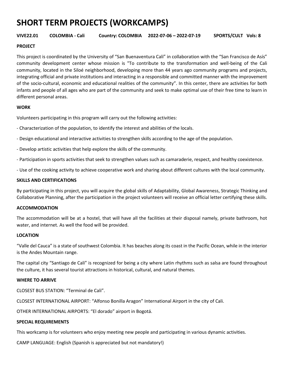### **SHORT TERM PROJECTS (WORKCAMPS)**

#### **VIVE22.01 COLOMBIA - Cali Country: COLOMBIA 2022-07-06 – 2022-07-19 SPORTS/CULT Vols: 8**

#### **PROJECT**

This project is coordinated by the University of "San Buenaventura Cali" in collaboration with the "San Francisco de Asís" community development center whose mission is "To contribute to the transformation and well-being of the Cali community, located in the Siloé neighborhood, developing more than 44 years ago community programs and projects, integrating official and private institutions and interacting in a responsible and committed manner with the improvement of the socio-cultural, economic and educational realities of the community". In this center, there are activities for both infants and people of all ages who are part of the community and seek to make optimal use of their free time to learn in different personal areas.

#### **WORK**

Volunteers participating in this program will carry out the following activities:

- Characterization of the population, to identify the interest and abilities of the locals.
- Design educational and interactive activities to strengthen skills according to the age of the population.
- Develop artistic activities that help explore the skills of the community.
- Participation in sports activities that seek to strengthen values such as camaraderie, respect, and healthy coexistence.
- Use of the cooking activity to achieve cooperative work and sharing about different cultures with the local community.

#### **SKILLS AND CERTIFICATIONS**

By participating in this project, you will acquire the global skills of Adaptability, Global Awareness, Strategic Thinking and Collaborative Planning, after the participation in the project volunteers will receive an official letter certifying these skills.

#### **ACCOMMODATION**

The accommodation will be at a hostel, that will have all the facilities at their disposal namely, private bathroom, hot water, and internet. As well the food will be provided.

#### **LOCATION**

"Valle del Cauca" is a state of southwest Colombia. It has beaches along its coast in the Pacific Ocean, while in the interior is the Andes Mountain range.

The capital city "Santiago de Cali" is recognized for being a city where Latin rhythms such as salsa are found throughout the culture, it has several tourist attractions in historical, cultural, and natural themes.

#### **WHERE TO ARRIVE**

CLOSEST BUS STATION: "Terminal de Cali".

CLOSEST INTERNATIONAL AIRPORT: "Alfonso Bonilla Aragon" International Airport in the city of Cali.

OTHER INTERNATIONAL AIRPORTS: "El dorado" airport in Bogotá.

#### **SPECIAL REQUIREMENTS**

This workcamp is for volunteers who enjoy meeting new people and participating in various dynamic activities.

CAMP LANGUAGE: English (Spanish is appreciated but not mandatory!)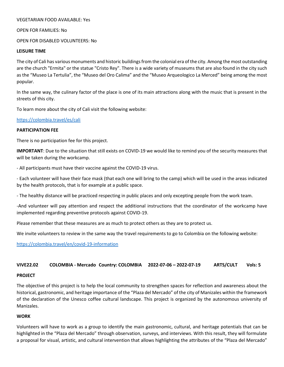#### VEGETARIAN FOOD AVAILABLE: Yes

#### OPEN FOR FAMILIES: No

#### OPEN FOR DISABLED VOLUNTEERS: No

#### **LEISURE TIME**

The city of Cali has various monuments and historic buildings from the colonial era of the city. Among the most outstanding are the church "Ermita" or the statue "Cristo Rey". There is a wide variety of museums that are also found in the city such as the "Museo La Tertulia", the "Museo del Oro Calima" and the "Museo Arqueologico La Merced" being among the most popular.

In the same way, the culinary factor of the place is one of its main attractions along with the music that is present in the streets of this city.

To learn more about the city of Cali visit the following website:

<https://colombia.travel/es/cali>

#### **PARTICIPATION FEE**

There is no participation fee for this project.

**IMPORTANT**: Due to the situation that still exists on COVID-19 we would like to remind you of the security measures that will be taken during the workcamp.

- All participants must have their vaccine against the COVID-19 virus.

- Each volunteer will have their face mask (that each one will bring to the camp) which will be used in the areas indicated by the health protocols, that is for example at a public space.

- The healthy distance will be practiced respecting in public places and only excepting people from the work team.

-And volunteer will pay attention and respect the additional instructions that the coordinator of the workcamp have implemented regarding preventive protocols against COVID-19.

Please remember that these measures are as much to protect others as they are to protect us.

We invite volunteers to review in the same way the travel requirements to go to Colombia on the following website:

<https://colombia.travel/en/covid-19-information>

#### **VIVE22.02 COLOMBIA - Mercado Country: COLOMBIA 2022-07-06 – 2022-07-19 ARTS/CULT Vols: 5**

#### **PROJECT**

The objective of this project is to help the local community to strengthen spaces for reflection and awareness about the historical, gastronomic, and heritage importance of the "Plaza del Mercado" of the city of Manizales within the framework of the declaration of the Unesco coffee cultural landscape. This project is organized by the autonomous university of Manizales.

#### **WORK**

Volunteers will have to work as a group to identify the main gastronomic, cultural, and heritage potentials that can be highlighted in the "Plaza del Mercado" through observation, surveys, and interviews. With this result, they will formulate a proposal for visual, artistic, and cultural intervention that allows highlighting the attributes of the "Plaza del Mercado"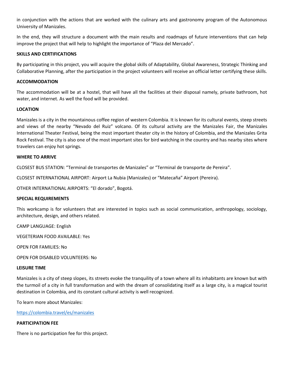in conjunction with the actions that are worked with the culinary arts and gastronomy program of the Autonomous University of Manizales.

In the end, they will structure a document with the main results and roadmaps of future interventions that can help improve the project that will help to highlight the importance of "Plaza del Mercado".

#### **SKILLS AND CERTIFICATIONS**

By participating in this project, you will acquire the global skills of Adaptability, Global Awareness, Strategic Thinking and Collaborative Planning, after the participation in the project volunteers will receive an official letter certifying these skills.

#### **ACCOMMODATION**

The accommodation will be at a hostel, that will have all the facilities at their disposal namely, private bathroom, hot water, and internet. As well the food will be provided.

#### **LOCATION**

Manizales is a city in the mountainous coffee region of western Colombia. It is known for its cultural events, steep streets and views of the nearby "Nevado del Ruiz" volcano. Of its cultural activity are the Manizales Fair, the Manizales International Theater Festival, being the most important theater city in the history of Colombia, and the Manizales Grita Rock Festival. The city is also one of the most important sites for bird watching in the country and has nearby sites where travelers can enjoy hot springs.

#### **WHERE TO ARRIVE**

CLOSEST BUS STATION: "Terminal de transportes de Manizales" or "Terminal de transporte de Pereira".

CLOSEST INTERNATIONAL AIRPORT: Airport La Nubia (Manizales) or "Matecaña" Airport (Pereira).

OTHER INTERNATIONAL AIRPORTS: "El dorado", Bogotá.

#### **SPECIAL REQUIREMENTS**

This workcamp is for volunteers that are interested in topics such as social communication, anthropology, sociology, architecture, design, and others related.

CAMP LANGUAGE: English

VEGETERIAN FOOD AVAILABLE: Yes

OPEN FOR FAMILIES: No

OPEN FOR DISABLED VOLUNTEERS: No

#### **LEISURE TIME**

Manizales is a city of steep slopes, its streets evoke the tranquility of a town where all its inhabitants are known but with the turmoil of a city in full transformation and with the dream of consolidating itself as a large city, is a magical tourist destination in Colombia, and its constant cultural activity is well recognized.

To learn more about Manizales:

<https://colombia.travel/es/manizales>

#### **PARTICIPATION FEE**

There is no participation fee for this project.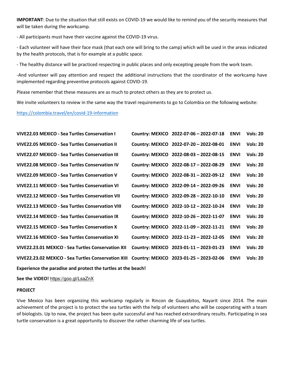**IMPORTANT**: Due to the situation that still exists on COVID-19 we would like to remind you of the security measures that will be taken during the workcamp.

- All participants must have their vaccine against the COVID-19 virus.

- Each volunteer will have their face mask (that each one will bring to the camp) which will be used in the areas indicated by the health protocols, that is for example at a public space.

- The healthy distance will be practiced respecting in public places and only excepting people from the work team.

-And volunteer will pay attention and respect the additional instructions that the coordinator of the workcamp have implemented regarding preventive protocols against COVID-19.

Please remember that these measures are as much to protect others as they are to protect us.

We invite volunteers to review in the same way the travel requirements to go to Colombia on the following website:

#### <https://colombia.travel/en/covid-19-information>

| <b>VIVE22.03 MEXICO - Sea Turtles Conservation I</b>                                        | Country: MEXICO 2022-07-06 - 2022-07-18 | <b>ENVI</b> | <b>Vols: 20</b> |
|---------------------------------------------------------------------------------------------|-----------------------------------------|-------------|-----------------|
| <b>VIVE22.05 MEXICO - Sea Turtles Conservation II</b>                                       | Country: MEXICO 2022-07-20 - 2022-08-01 | <b>ENVI</b> | <b>Vols: 20</b> |
| <b>VIVE22.07 MEXICO - Sea Turtles Conservation III</b>                                      | Country: MEXICO 2022-08-03 - 2022-08-15 | <b>ENVI</b> | <b>Vols: 20</b> |
| <b>VIVE22.08 MEXICO - Sea Turtles Conservation IV</b>                                       | Country: MEXICO 2022-08-17 - 2022-08-29 | <b>ENVI</b> | <b>Vols: 20</b> |
| VIVE22.09 MEXICO - Sea Turtles Conservation V                                               | Country: MEXICO 2022-08-31 - 2022-09-12 | <b>ENVI</b> | <b>Vols: 20</b> |
| <b>VIVE22.11 MEXICO - Sea Turtles Conservation VI</b>                                       | Country: MEXICO 2022-09-14 - 2022-09-26 | <b>ENVI</b> | <b>Vols: 20</b> |
| <b>VIVE22.12 MEXICO - Sea Turtles Conservation VII</b>                                      | Country: MEXICO 2022-09-28 - 2022-10-10 | <b>ENVI</b> | <b>Vols: 20</b> |
| <b>VIVE22.13 MEXICO - Sea Turtles Conservation VIII</b>                                     | Country: MEXICO 2022-10-12 - 2022-10-24 | <b>ENVI</b> | <b>Vols: 20</b> |
| <b>VIVE22.14 MEXICO - Sea Turtles Conservation IX</b>                                       | Country: MEXICO 2022-10-26 - 2022-11-07 | <b>ENVI</b> | <b>Vols: 20</b> |
| VIVE22.15 MEXICO - Sea Turtles Conservation X                                               | Country: MEXICO 2022-11-09 - 2022-11-21 | <b>ENVI</b> | <b>Vols: 20</b> |
| <b>VIVE22.16 MEXICO - Sea Turtles Conservation XI</b>                                       | Country: MEXICO 2022-11-23 - 2022-12-05 | <b>ENVI</b> | <b>Vols: 20</b> |
| <b>VIVE22.23.01 MEXICO - Sea Turtles Conservation XII</b>                                   | Country: MEXICO 2023-01-11-2023-01-23   | <b>ENVI</b> | <b>Vols: 20</b> |
| VIVE22.23.02 MEXICO - Sea Turtles Conservation XIII Country: MEXICO 2023-01-25 - 2023-02-06 |                                         | <b>ENVI</b> | <b>Vols: 20</b> |
| Experience the paradise and protect the turtles at the beach!                               |                                         |             |                 |

**See the VIDEO!** <https://goo.gl/LsaZnX>

#### **PROJECT**

Vive Mexico has been organizing this workcamp regularly in Rincon de Guayabitos, Nayarit since 2014. The main achievement of the project is to protect the sea turtles with the help of volunteers who will be cooperating with a team of biologists. Up to now, the project has been quite successful and has reached extraordinary results. Participating in sea turtle conservation is a great opportunity to discover the rather charming life of sea turtles.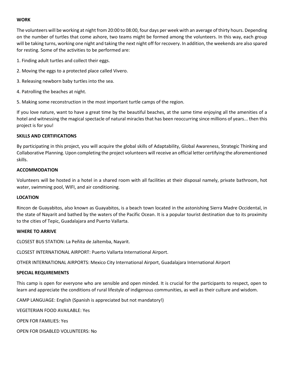#### **WORK**

The volunteers will be working at night from 20:00 to 08:00, four days per week with an average of thirty hours. Depending on the number of turtles that come ashore, two teams might be formed among the volunteers. In this way, each group will be taking turns, working one night and taking the next night off for recovery. In addition, the weekends are also spared for resting. Some of the activities to be performed are:

- 1. Finding adult turtles and collect their eggs.
- 2. Moving the eggs to a protected place called Vivero.
- 3. Releasing newborn baby turtles into the sea.
- 4. Patrolling the beaches at night.
- 5. Making some reconstruction in the most important turtle camps of the region.

If you love nature, want to have a great time by the beautiful beaches, at the same time enjoying all the amenities of a hotel and witnessing the magical spectacle of natural miracles that has been reoccurring since millions of years... then this project is for you!

#### **SKILLS AND CERTIFICATIONS**

By participating in this project, you will acquire the global skills of Adaptability, Global Awareness, Strategic Thinking and Collaborative Planning. Upon completing the project volunteers will receive an official letter certifying the aforementioned skills.

#### **ACCOMMODATION**

Volunteers will be hosted in a hotel in a shared room with all facilities at their disposal namely, private bathroom, hot water, swimming pool, WIFI, and air conditioning.

#### **LOCATION**

Rincon de Guayabitos, also known as Guayabitos, is a beach town located in the astonishing Sierra Madre Occidental, in the state of Nayarit and bathed by the waters of the Pacific Ocean. It is a popular tourist destination due to its proximity to the cities of Tepic, Guadalajara and Puerto Vallarta.

#### **WHERE TO ARRIVE**

CLOSEST BUS STATION: La Peñita de Jaltemba, Nayarit.

CLOSEST INTERNATIONAL AIRPORT: Puerto Vallarta International Airport.

OTHER INTERNATIONAL AIRPORTS: Mexico City International Airport, Guadalajara International Airport

#### **SPECIAL REQUIREMENTS**

This camp is open for everyone who are sensible and open minded. It is crucial for the participants to respect, open to learn and appreciate the conditions of rural lifestyle of indigenous communities, as well as their culture and wisdom.

CAMP LANGUAGE: English (Spanish is appreciated but not mandatory!)

VEGETERIAN FOOD AVAILABLE: Yes

OPEN FOR FAMILIES: Yes

OPEN FOR DISABLED VOLUNTEERS: No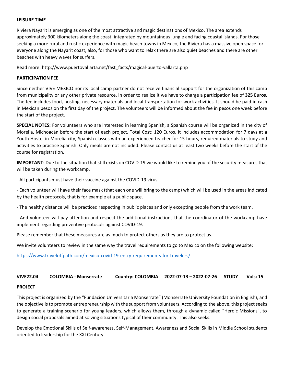#### **LEISURE TIME**

Riviera Nayarit is emerging as one of the most attractive and magic destinations of Mexico. The area extends approximately 300 kilometers along the coast, integrated by mountainous jungle and facing coastal islands. For those seeking a more rural and rustic experience with magic beach towns in Mexico, the Riviera has a massive open space for everyone along the Nayarit coast, also, for those who want to relax there are also quiet beaches and there are other beaches with heavy waves for surfers.

Read more: [http://www.puertovallarta.net/fast\\_facts/magical-puerto-vallarta.php](http://www.puertovallarta.net/fast_facts/magical-puerto-vallarta.php) 

#### **PARTICIPATION FEE**

Since neither VIVE MEXICO nor its local camp partner do not receive financial support for the organization of this camp from municipality or any other private resource, in order to realize it we have to charge a participation fee of **325 Euros**. The fee includes food, hosting, necessary materials and local transportation for work activities. It should be paid in cash in Mexican pesos on the first day of the project. The volunteers will be informed about the fee in pesos one week before the start of the project.

**SPECIAL NOTES:** For volunteers who are interested in learning Spanish, a Spanish course will be organized in the city of Morelia, Michoacán before the start of each project. Total Cost: 120 Euros. It includes accommodation for 7 days at a Youth Hostel in Morelia city, Spanish classes with an experienced teacher for 15 hours, required materials to study and activities to practice Spanish. Only meals are not included. Please contact us at least two weeks before the start of the course for registration.

**IMPORTANT**: Due to the situation that still exists on COVID-19 we would like to remind you of the security measures that will be taken during the workcamp.

- All participants must have their vaccine against the COVID-19 virus.

- Each volunteer will have their face mask (that each one will bring to the camp) which will be used in the areas indicated by the health protocols, that is for example at a public space.

- The healthy distance will be practiced respecting in public places and only excepting people from the work team.

- And volunteer will pay attention and respect the additional instructions that the coordinator of the workcamp have implement regarding preventive protocols against COVID-19.

Please remember that these measures are as much to protect others as they are to protect us.

We invite volunteers to review in the same way the travel requirements to go to Mexico on the following website:

<https://www.traveloffpath.com/mexico-covid-19-entry-requirements-for-travelers/>

#### **VIVE22.04 COLOMBIA - Monserrate Country: COLOMBIA 2022-07-13 – 2022-07-26 STUDY Vols: 15**

#### **PROJECT**

This project is organized by the "Fundación Universitaria Monserrate" (Monserrate University Foundation in English), and the objective is to promote entrepreneurship with the support from volunteers. According to the above, this project seeks to generate a training scenario for young leaders, which allows them, through a dynamic called "Heroic Missions", to design social proposals aimed at solving situations typical of their community. This also seeks:

Develop the Emotional Skills of Self-awareness, Self-Management, Awareness and Social Skills in Middle School students oriented to leadership for the XXI Century.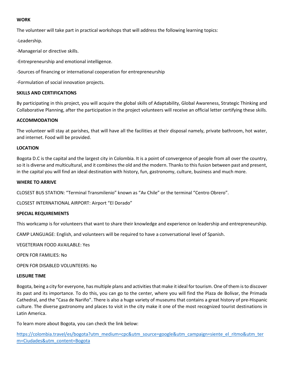#### **WORK**

The volunteer will take part in practical workshops that will address the following learning topics:

-Leadership.

-Managerial or directive skills.

-Entrepreneurship and emotional intelligence.

-Sources of financing or international cooperation for entrepreneurship

-Formulation of social innovation projects.

#### **SKILLS AND CERTIFICATIONS**

By participating in this project, you will acquire the global skills of Adaptability, Global Awareness, Strategic Thinking and Collaborative Planning, after the participation in the project volunteers will receive an official letter certifying these skills.

#### **ACCOMMODATION**

The volunteer will stay at parishes, that will have all the facilities at their disposal namely, private bathroom, hot water, and internet. Food will be provided.

#### **LOCATION**

Bogota D.C is the capital and the largest city in Colombia. It is a point of convergence of people from all over the country, so it is diverse and multicultural, and it combines the old and the modern. Thanks to this fusion between past and present, in the capital you will find an ideal destination with history, fun, gastronomy, culture, business and much more.

#### **WHERE TO ARRIVE**

CLOSEST BUS STATION: "Terminal Transmilenio" known as "Av Chile" or the terminal "Centro Obrero".

CLOSEST INTERNATIONAL AIRPORT: Airport "El Dorado"

#### **SPECIAL REQUIREMENTS**

This workcamp is for volunteers that want to share their knowledge and experience on leadership and entrepreneurship.

CAMP LANGUAGE: English, and volunteers will be required to have a conversational level of Spanish.

VEGETERIAN FOOD AVAILABLE: Yes

OPEN FOR FAMILIES: No

OPEN FOR DISABLED VOLUNTEERS: No

#### **LEISURE TIME**

Bogota, being a city for everyone, has multiple plans and activities that make it ideal for tourism. One of them is to discover its past and its importance. To do this, you can go to the center, where you will find the Plaza de Bolívar, the Primada Cathedral, and the "Casa de Nariño". There is also a huge variety of museums that contains a great history of pre-Hispanic culture. The diverse gastronomy and places to visit in the city make it one of the most recognized tourist destinations in Latin America.

To learn more about Bogota, you can check the link below:

[https://colombia.travel/es/bogota?utm\\_medium=cpc&utm\\_source=google&utm\\_campaign=siente\\_el\\_ritmo&utm\\_ter](https://colombia.travel/es/bogota?utm_medium=cpc&utm_source=google&utm_campaign=siente_el_ritmo&utm_term=Ciudades&utm_content=Bogota) [m=Ciudades&utm\\_content=Bogota](https://colombia.travel/es/bogota?utm_medium=cpc&utm_source=google&utm_campaign=siente_el_ritmo&utm_term=Ciudades&utm_content=Bogota)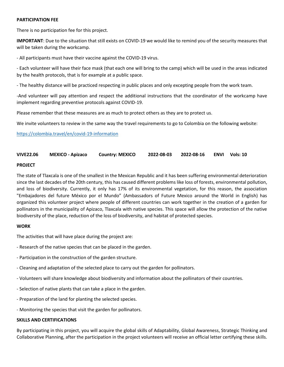#### **PARTICIPATION FEE**

There is no participation fee for this project.

**IMPORTANT**: Due to the situation that still exists on COVID-19 we would like to remind you of the security measures that will be taken during the workcamp.

- All participants must have their vaccine against the COVID-19 virus.

- Each volunteer will have their face mask (that each one will bring to the camp) which will be used in the areas indicated by the health protocols, that is for example at a public space.

- The healthy distance will be practiced respecting in public places and only excepting people from the work team.

-And volunteer will pay attention and respect the additional instructions that the coordinator of the workcamp have implement regarding preventive protocols against COVID-19.

Please remember that these measures are as much to protect others as they are to protect us.

We invite volunteers to review in the same way the travel requirements to go to Colombia on the following website:

<https://colombia.travel/en/covid-19-information>

**VIVE22.06 MEXICO - Apizaco Country: MEXICO 2022-08-03 2022-08-16 ENVI Vols: 10**

#### **PROJECT**

The state of Tlaxcala is one of the smallest in the Mexican Republic and it has been suffering environmental deterioration since the last decades of the 20th century, this has caused different problems like loss of forests, environmental pollution, and loss of biodiversity. Currently, it only has 17% of its environmental vegetation, for this reason, the association "Embajadores del future México por el Mundo" (Ambassadors of Future Mexico around the World in English) has organized this volunteer project where people of different countries can work together in the creation of a garden for pollinators in the municipality of Apizaco, Tlaxcala with native species. This space will allow the protection of the native biodiversity of the place, reduction of the loss of biodiversity, and habitat of protected species.

#### **WORK**

The activities that will have place during the project are:

- Research of the native species that can be placed in the garden.
- Participation in the construction of the garden structure.
- Cleaning and adaptation of the selected place to carry out the garden for pollinators.
- Volunteers will share knowledge about biodiversity and information about the pollinators of their countries.
- Selection of native plants that can take a place in the garden.
- Preparation of the land for planting the selected species.
- Monitoring the species that visit the garden for pollinators.

#### **SKILLS AND CERTIFICATIONS**

By participating in this project, you will acquire the global skills of Adaptability, Global Awareness, Strategic Thinking and Collaborative Planning, after the participation in the project volunteers will receive an official letter certifying these skills.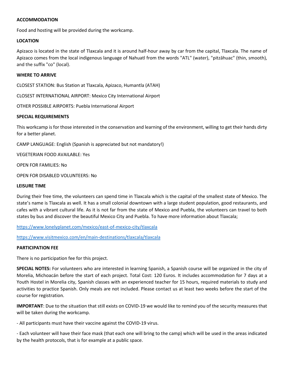#### **ACCOMMODATION**

Food and hosting will be provided during the workcamp.

#### **LOCATION**

Apizaco is located in the state of Tlaxcala and it is around half-hour away by car from the capital, Tlaxcala. The name of Apizaco comes from the local indigenous language of Nahuatl from the words "ATL" (water), "pitzāhuac" (thin, smooth), and the suffix "co" (local).

#### **WHERE TO ARRIVE**

CLOSEST STATION: Bus Station at Tlaxcala, Apizaco, Humantla (ATAH)

CLOSEST INTERNATIONAL AIRPORT: Mexico City International Airport

OTHER POSSIBLE AIRPORTS: Puebla International Airport

#### **SPECIAL REQUIREMENTS**

This workcamp is for those interested in the conservation and learning of the environment, willing to get their hands dirty for a better planet.

CAMP LANGUAGE: English (Spanish is appreciated but not mandatory!)

VEGETERIAN FOOD AVAILABLE: Yes

OPEN FOR FAMILIES: No

OPEN FOR DISABLED VOLUNTEERS: No

#### **LEISURE TIME**

During their free time, the volunteers can spend time in Tlaxcala which is the capital of the smallest state of Mexico. The state's name is Tlaxcala as well. It has a small colonial downtown with a large student population, good restaurants, and cafes with a vibrant cultural life. As it is not far from the state of Mexico and Puebla, the volunteers can travel to both states by bus and discover the beautiful Mexico City and Puebla. To have more information about Tlaxcala;

https://www.lonelyplanet.com/mexico/east-of-mexico-city/tlaxcala

<https://www.visitmexico.com/en/main-destinations/tlaxcala/tlaxcala>

#### **PARTICIPATION FEE**

There is no participation fee for this project.

**SPECIAL NOTES:** For volunteers who are interested in learning Spanish, a Spanish course will be organized in the city of Morelia, Michoacán before the start of each project. Total Cost: 120 Euros. It includes accommodation for 7 days at a Youth Hostel in Morelia city, Spanish classes with an experienced teacher for 15 hours, required materials to study and activities to practice Spanish. Only meals are not included. Please contact us at least two weeks before the start of the course for registration.

**IMPORTANT**: Due to the situation that still exists on COVID-19 we would like to remind you of the security measures that will be taken during the workcamp.

- All participants must have their vaccine against the COVID-19 virus.

- Each volunteer will have their face mask (that each one will bring to the camp) which will be used in the areas indicated by the health protocols, that is for example at a public space.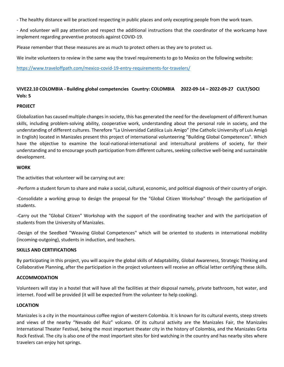- The healthy distance will be practiced respecting in public places and only excepting people from the work team.

- And volunteer will pay attention and respect the additional instructions that the coordinator of the workcamp have implement regarding preventive protocols against COVID-19.

Please remember that these measures are as much to protect others as they are to protect us.

We invite volunteers to review in the same way the travel requirements to go to Mexico on the following website:

<https://www.traveloffpath.com/mexico-covid-19-entry-requirements-for-travelers/>

#### **VIVE22.10 COLOMBIA - Building global competencies Country: COLOMBIA 2022-09-14 – 2022-09-27 CULT/SOCI Vols: 5**

#### **PROJECT**

Globalization has caused multiple changes in society, this has generated the need for the development of different human skills, including problem-solving ability, cooperative work, understanding about the personal role in society, and the understanding of different cultures. Therefore "La Universidad Católica Luis Amigo" (the Catholic University of Luis Amigó in English) located in Manizales present this project of international volunteering "Building Global Competences". Which have the objective to examine the local-national-international and intercultural problems of society, for their understanding and to encourage youth participation from different cultures, seeking collective well-being and sustainable development.

#### **WORK**

The activities that volunteer will be carrying out are:

-Perform a student forum to share and make a social, cultural, economic, and political diagnosis of their country of origin.

-Consolidate a working group to design the proposal for the "Global Citizen Workshop" through the participation of students.

-Carry out the "Global Citizen" Workshop with the support of the coordinating teacher and with the participation of students from the University of Manizales.

-Design of the Seedbed "Weaving Global Competences" which will be oriented to students in international mobility (incoming-outgoing), students in induction, and teachers.

#### **SKILLS AND CERTIFICATIONS**

By participating in this project, you will acquire the global skills of Adaptability, Global Awareness, Strategic Thinking and Collaborative Planning, after the participation in the project volunteers will receive an official letter certifying these skills.

#### **ACCOMMODATION**

Volunteers will stay in a hostel that will have all the facilities at their disposal namely, private bathroom, hot water, and internet. Food will be provided (it will be expected from the volunteer to help cooking).

#### **LOCATION**

Manizales is a city in the mountainous coffee region of western Colombia. It is known for its cultural events, steep streets and views of the nearby "Nevado del Ruiz" volcano. Of its cultural activity are the Manizales Fair, the Manizales International Theater Festival, being the most important theater city in the history of Colombia, and the Manizales Grita Rock Festival. The city is also one of the most important sites for bird watching in the country and has nearby sites where travelers can enjoy hot springs.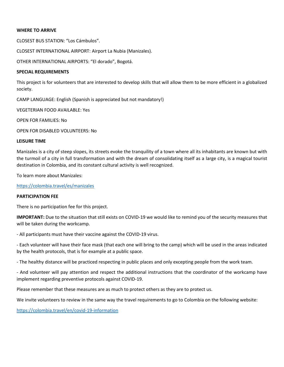#### **WHERE TO ARRIVE**

CLOSEST BUS STATION: "Los Cámbulos".

CLOSEST INTERNATIONAL AIRPORT: Airport La Nubia (Manizales).

OTHER INTERNATIONAL AIRPORTS: "El dorado", Bogotá.

#### **SPECIAL REQUIREMENTS**

This project is for volunteers that are interested to develop skills that will allow them to be more efficient in a globalized society.

CAMP LANGUAGE: English (Spanish is appreciated but not mandatory!)

VEGETERIAN FOOD AVAILABLE: Yes

OPEN FOR FAMILIES: No

OPEN FOR DISABLED VOLUNTEERS: No

#### **LEISURE TIME**

Manizales is a city of steep slopes, its streets evoke the tranquility of a town where all its inhabitants are known but with the turmoil of a city in full transformation and with the dream of consolidating itself as a large city, is a magical tourist destination in Colombia, and its constant cultural activity is well recognized.

To learn more about Manizales:

<https://colombia.travel/es/manizales>

#### **PARTICIPATION FEE**

There is no participation fee for this project.

**IMPORTANT:** Due to the situation that still exists on COVID-19 we would like to remind you of the security measures that will be taken during the workcamp.

- All participants must have their vaccine against the COVID-19 virus.

- Each volunteer will have their face mask (that each one will bring to the camp) which will be used in the areas indicated by the health protocols, that is for example at a public space.

- The healthy distance will be practiced respecting in public places and only excepting people from the work team.

- And volunteer will pay attention and respect the additional instructions that the coordinator of the workcamp have implement regarding preventive protocols against COVID-19.

Please remember that these measures are as much to protect others as they are to protect us.

We invite volunteers to review in the same way the travel requirements to go to Colombia on the following website:

<https://colombia.travel/en/covid-19-information>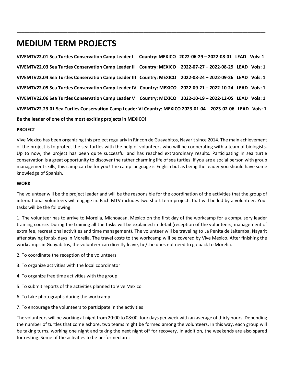## **MEDIUM TERM PROJECTS**

| VIVEMTV22.01 Sea Turtles Conservation Camp Leader I Country: MEXICO 2022-06-29 - 2022-08-01 LEAD Vols: 1     |  |  |
|--------------------------------------------------------------------------------------------------------------|--|--|
| VIVEMTV22.03 Sea Turtles Conservation Camp Leader II Country: MEXICO 2022-07-27 - 2022-08-29 LEAD Vols: 1    |  |  |
| VIVEMTV22.04 Sea Turtles Conservation Camp Leader III Country: MEXICO 2022-08-24 - 2022-09-26 LEAD Vols: 1   |  |  |
| VIVEMTV22.05 Sea Turtles Conservation Camp Leader IV Country: MEXICO 2022-09-21 - 2022-10-24 LEAD Vols: 1    |  |  |
| VIVEMTV22.06 Sea Turtles Conservation Camp Leader V Country: MEXICO 2022-10-19 - 2022-12-05 LEAD Vols: 1     |  |  |
| VIVEMTV22.23.01 Sea Turtles Conservation Camp Leader VI Country: MEXICO 2023-01-04 - 2023-02-06 LEAD Vols: 1 |  |  |
| Be the leader of one of the most exciting projects in MEXICO!                                                |  |  |

\_\_\_\_\_\_\_\_\_\_\_\_\_\_\_\_\_\_\_\_\_\_\_\_\_\_\_\_\_\_\_\_\_\_\_\_\_\_\_\_\_\_\_\_\_\_\_\_\_\_\_\_\_\_\_\_\_\_\_\_\_\_\_\_\_\_\_\_\_\_\_\_\_\_\_\_\_\_\_\_\_\_\_\_\_\_\_\_\_\_\_\_\_\_\_\_\_\_

#### **PROJECT**

Vive Mexico has been organizing this project regularly in Rincon de Guayabitos, Nayarit since 2014. The main achievement of the project is to protect the sea turtles with the help of volunteers who will be cooperating with a team of biologists. Up to now, the project has been quite successful and has reached extraordinary results. Participating in sea turtle conservation is a great opportunity to discover the rather charming life of sea turtles. If you are a social person with group management skills, this camp can be for you! The camp language is English but as being the leader you should have some knowledge of Spanish.

#### **WORK**

The volunteer will be the project leader and will be the responsible for the coordination of the activities that the group of international volunteers will engage in. Each MTV includes two short term projects that will be led by a volunteer. Your tasks will be the following:

1. The volunteer has to arrive to Morelia, Michoacan, Mexico on the first day of the workcamp for a compulsory leader training course. During the training all the tasks will be explained in detail (reception of the volunteers, management of extra fee, recreational activities and time management). The volunteer will be traveling to La Penita de Jaltemba, Nayarit after staying for six days in Morelia. The travel costs to the workcamp will be covered by Vive Mexico. After finishing the workcamps in Guayabitos, the volunteer can directly leave, he/she does not need to go back to Morelia.

- 2. To coordinate the reception of the volunteers
- 3. To organize activities with the local coordinator
- 4. To organize free time activities with the group
- 5. To submit reports of the activities planned to Vive Mexico
- 6. To take photographs during the workcamp
- 7. To encourage the volunteers to participate in the activities

The volunteers will be working at night from 20:00 to 08:00, four days per week with an average of thirty hours. Depending the number of turtles that come ashore, two teams might be formed among the volunteers. In this way, each group will be taking turns, working one night and taking the next night off for recovery. In addition, the weekends are also spared for resting. Some of the activities to be performed are: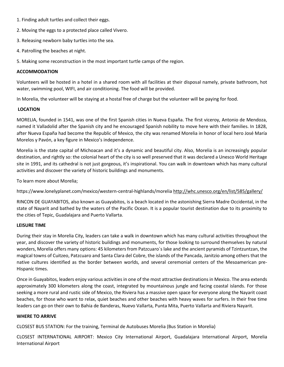- 1. Finding adult turtles and collect their eggs.
- 2. Moving the eggs to a protected place called Vivero.
- 3. Releasing newborn baby turtles into the sea.
- 4. Patrolling the beaches at night.
- 5. Making some reconstruction in the most important turtle camps of the region.

#### **ACCOMMODATION**

Volunteers will be hosted in a hotel in a shared room with all facilities at their disposal namely, private bathroom, hot water, swimming pool, WIFI, and air conditioning. The food will be provided.

In Morelia, the volunteer will be staying at a hostal free of charge but the volunteer will be paying for food.

#### **LOCATION**

MORELIA, founded in 1541, was one of the first Spanish cities in Nueva España. The first viceroy, Antonio de Mendoza, named it Valladolid after the Spanish city and he encouraged Spanish nobility to move here with their families. In 1828, after Nueva España had become the Republic of Mexico, the city was renamed Morelia in honor of local hero José María Morelos y Pavón, a key figure in Mexico's independence.

Morelia is the state capital of Michoacan and it's a dynamic and beautiful city. Also, Morelia is an increasingly popular destination, and rightly so: the colonial heart of the city is so well preserved that it was declared a Unesco World Heritage site in 1991, and its cathedral is not just gorgeous, it's inspirational. You can walk in downtown which has many cultural activities and discover the variety of historic buildings and monuments.

To learn more about Morelia;

https://www.lonelyplanet.com/mexico/western-central-highlands/moreli[a http://whc.unesco.org/en/list/585/gallery/](http://whc.unesco.org/en/list/585/gallery/) 

RINCON DE GUAYABITOS, also known as Guayabitos, is a beach located in the astonishing Sierra Madre Occidental, in the state of Nayarit and bathed by the waters of the Pacific Ocean. It is a popular tourist destination due to its proximity to the cities of Tepic, Guadalajara and Puerto Vallarta.

#### **LEISURE TIME**

During their stay in Morelia City, leaders can take a walk in downtown which has many cultural activities throughout the year, and discover the variety of historic buildings and monuments, for those looking to surround themselves by natural wonders, Morelia offers many options: 45 kilometers from Patzcuaro´s lake and the ancient pyramids of Tzintzuntzan, the magical towns of Cuitzeo, Patzcuaro and Santa Clara del Cobre, the islands of the Pancada, Janitzio among others that the native cultures identified as the border between worlds, and several ceremonial centers of the Mesoamerican pre-Hispanic times.

Once in Guayabitos, leaders enjoy various activities in one of the most attractive destinations in Mexico. The area extends approximately 300 kilometers along the coast, integrated by mountainous jungle and facing coastal islands. For those seeking a more rural and rustic side of Mexico, the Riviera has a massive open space for everyone along the Nayarit coast beaches, for those who want to relax, quiet beaches and other beaches with heavy waves for surfers. In their free time leaders can go on their own to Bahia de Banderas, Nuevo Vallarta, Punta Mita, Puerto Vallarta and Riviera Nayarit.

#### **WHERE TO ARRIVE**

CLOSEST BUS STATION: For the training, Terminal de Autobuses Morelia (Bus Station in Morelia)

CLOSEST INTERNATIONAL AIRPORT: Mexico City International Airport, Guadalajara International Airport, Morelia International Airport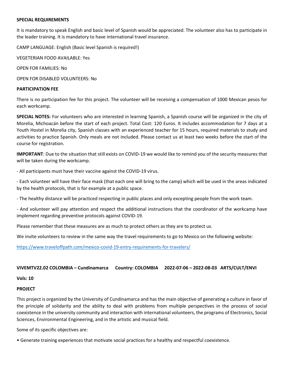#### **SPECIAL REQUIREMENTS**

It is mandatory to speak English and basic level of Spanish would be appreciated. The volunteer also has to participate in the leader training. It is mandatory to have international travel insurance.

CAMP LANGUAGE: English (Basic level Spanish is required!)

VEGETERIAN FOOD AVAILABLE: Yes

OPEN FOR FAMILIES: No

OPEN FOR DISABLED VOLUNTEERS: No

#### **PARTICIPATION FEE**

There is no participation fee for this project. The volunteer will be receiving a compensation of 1000 Mexican pesos for each workcamp.

**SPECIAL NOTES:** For volunteers who are interested in learning Spanish, a Spanish course will be organized in the city of Morelia, Michoacán before the start of each project. Total Cost: 120 Euros. It includes accommodation for 7 days at a Youth Hostel in Morelia city, Spanish classes with an experienced teacher for 15 hours, required materials to study and activities to practice Spanish. Only meals are not included. Please contact us at least two weeks before the start of the course for registration.

**IMPORTANT**: Due to the situation that still exists on COVID-19 we would like to remind you of the security measures that will be taken during the workcamp.

- All participants must have their vaccine against the COVID-19 virus.

- Each volunteer will have their face mask (that each one will bring to the camp) which will be used in the areas indicated by the health protocols, that is for example at a public space.

- The healthy distance will be practiced respecting in public places and only excepting people from the work team.

- And volunteer will pay attention and respect the additional instructions that the coordinator of the workcamp have implement regarding preventive protocols against COVID-19.

Please remember that these measures are as much to protect others as they are to protect us.

We invite volunteers to review in the same way the travel requirements to go to Mexico on the following website:

<https://www.traveloffpath.com/mexico-covid-19-entry-requirements-for-travelers/>

#### **VIVEMTV22.02 COLOMBIA – Cundinamarca Country: COLOMBIA 2022-07-06 – 2022-08-03 ARTS/CULT/ENVI**

#### **Vols: 10**

#### **PROJECT**

This project is organized by the University of Cundinamarca and has the main objective of generating a culture in favor of the principle of solidarity and the ability to deal with problems from multiple perspectives in the process of social coexistence in the university community and interaction with international volunteers, the programs of Electronics, Social Sciences, Environmental Engineering, and in the artistic and musical field.

Some of its specific objectives are:

• Generate training experiences that motivate social practices for a healthy and respectful coexistence.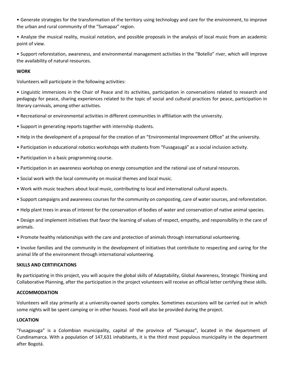• Generate strategies for the transformation of the territory using technology and care for the environment, to improve the urban and rural community of the "Sumapaz" region.

• Analyze the musical reality, musical notation, and possible proposals in the analysis of local music from an academic point of view.

• Support reforestation, awareness, and environmental management activities in the "Botello" river, which will improve the availability of natural resources.

#### **WORK**

Volunteers will participate in the following activities:

• Linguistic immersions in the Chair of Peace and its activities, participation in conversations related to research and pedagogy for peace, sharing experiences related to the topic of social and cultural practices for peace, participation in literary carnivals, among other activities.

- Recreational or environmental activities in different communities in affiliation with the university.
- Support in generating reports together with internship students.
- Help in the development of a proposal for the creation of an "Environmental Improvement Office" at the university.
- Participation in educational robotics workshops with students from "Fusagasugá" as a social inclusion activity.
- Participation in a basic programming course.
- Participation in an awareness workshop on energy consumption and the rational use of natural resources.
- Social work with the local community on musical themes and local music.
- Work with music teachers about local music, contributing to local and international cultural aspects.
- Support campaigns and awareness courses for the community on composting, care of water sources, and reforestation.
- Help plant trees in areas of interest for the conservation of bodies of water and conservation of native animal species.

• Design and implement initiatives that favor the learning of values of respect, empathy, and responsibility in the care of animals.

• Promote healthy relationships with the care and protection of animals through international volunteering.

• Involve families and the community in the development of initiatives that contribute to respecting and caring for the animal life of the environment through international volunteering.

#### **SKILLS AND CERTIFICATIONS**

By participating in this project, you will acquire the global skills of Adaptability, Global Awareness, Strategic Thinking and Collaborative Planning, after the participation in the project volunteers will receive an official letter certifying these skills.

#### **ACCOMMODATION**

Volunteers will stay primarily at a university-owned sports complex. Sometimes excursions will be carried out in which some nights will be spent camping or in other houses. Food will also be provided during the project.

#### **LOCATION**

"Fusagasuga" is a Colombian municipality, capital of the province of "Sumapaz", located in the department of Cundinamarca. With a population of 147,631 inhabitants, it is the third most populous municipality in the department after Bogotá.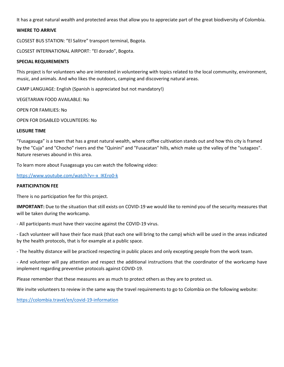It has a great natural wealth and protected areas that allow you to appreciate part of the great biodiversity of Colombia.

#### **WHERE TO ARRIVE**

CLOSEST BUS STATION: "El Salitre" transport terminal, Bogota.

CLOSEST INTERNATIONAL AIRPORT: "El dorado", Bogota.

#### **SPECIAL REQUIREMENTS**

This project is for volunteers who are interested in volunteering with topics related to the local community, environment, music, and animals. And who likes the outdoors, camping and discovering natural areas.

CAMP LANGUAGE: English (Spanish is appreciated but not mandatory!)

VEGETARIAN FOOD AVAILABLE: No

OPEN FOR FAMILIES: No

OPEN FOR DISABLED VOLUNTEERS: No

#### **LEISURE TIME**

"Fusagasuga" is a town that has a great natural wealth, where coffee cultivation stands out and how this city is framed by the "Cuja" and "Chocho" rivers and the "Quinini" and "Fusacatan" hills, which make up the valley of the "sutagaos". Nature reserves abound in this area.

To learn more about Fusagasuga you can watch the following video:

[https://www.youtube.com/watch?v=-x\\_IKEro0-k](https://www.youtube.com/watch?v=-x_IKEro0-k) 

#### **PARTICIPATION FEE**

There is no participation fee for this project.

**IMPORTANT:** Due to the situation that still exists on COVID-19 we would like to remind you of the security measures that will be taken during the workcamp.

- All participants must have their vaccine against the COVID-19 virus.

- Each volunteer will have their face mask (that each one will bring to the camp) which will be used in the areas indicated by the health protocols, that is for example at a public space.

- The healthy distance will be practiced respecting in public places and only excepting people from the work team.

- And volunteer will pay attention and respect the additional instructions that the coordinator of the workcamp have implement regarding preventive protocols against COVID-19.

Please remember that these measures are as much to protect others as they are to protect us.

We invite volunteers to review in the same way the travel requirements to go to Colombia on the following website:

<https://colombia.travel/en/covid-19-information>